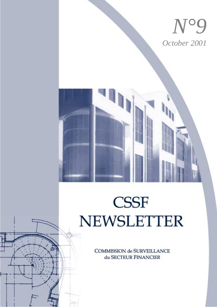

# **CSSF NEWSLETTER**

**COMMISSION de SURVEILLANCE** du SECTEUR FINANCIER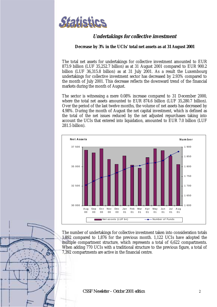

## **Undertakings for collective investment**

#### **Decrease by 3% in the UCIs' total net assets as at 31 August 2001**

The total net assets for undertakings for collective investment amounted to EUR 873.9 billion (LUF 35,252.7 billion) as at 31 August 2001 compared to EUR 900.2 billion (LUF 36,315.8 billion) as at 31 July 2001. As a result the Luxembourg undertakings for collective investment sector has decreased by 2.93% compared to the month of July 2001. This decrease reflects the downward trend of the financial markets during the month of August.

The sector is witnessing a mere 0.08% increase compared to 31 December 2000, where the total net assets amounted to EUR 874.6 billion (LUF 35,280.7 billion). Over the period of the last twelve months, the volume of net assets has decreased by 4.98%. During the month of August the net capital investment, which is defined as the total of the net issues reduced by the net adjusted repurchases taking into account the UCIs that entered into liquidation, amounted to EUR 7.0 billion (LUF 281.5 billion).



The number of undertakings for collective investment taken into consideration totals 1,892 compared to 1,876 for the previous month. 1,122 UCIs have adopted the multiple compartment structure, which represents a total of 6,622 compartments. When adding 770 UCIs with a traditional structure to the previous figure, a total of 7,392 compartments are active in the financial centre.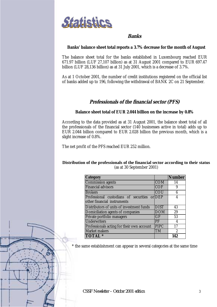

## **Banks**

#### **Banks' balance sheet total reports a 3.7% decrease for the month of August**

The balance sheet total for the banks established in Luxembourg reached EUR 671.97 billion (LUF 27,107 billion) as at 31 August 2001 compared to EUR 697.47 billion (LUF 28,136 billion) as at 31 July 2001, which is a decrease of 3.7%.

As at 1 October 2001, the number of credit institutions registered on the official list of banks added up to 196, following the withdrawal of BANK 2C on 21 September.

## **Professionals of the financial sector (PFS)**

#### **Balance sheet total of EUR 2.044 billion on the increase by 0.8%**

According to the data provided as at 31 August 2001, the balance sheet total of all the professionals of the financial sector (140 businesses active in total) adds up to EUR 2.044 billion compared to EUR 2.028 billion the previous month, which is a slight increase of 0.8%.

The net profit of the PFS reached EUR 252 million.

#### **Distribution of the professionals of the financial sector according to their status** (as at 30 September 2001)

| <b>Category</b>                              |             | <b>Number</b> |
|----------------------------------------------|-------------|---------------|
| <b>Commission agents</b>                     | <b>COM</b>  | 14            |
| <b>Financial advisors</b>                    | <b>COF</b>  | 9             |
| <b>Brokers</b>                               | <b>COU</b>  | 6             |
| Professional custodians of securities or DEP |             | 4             |
| other financial instruments                  |             |               |
| Distributors of units of investment funds    | <b>DIST</b> | 43            |
| Domiciliation agents of companies            | <b>DOM</b>  | 29            |
| Private portfolio managers                   | GF          | 53            |
| <b>Underwriters</b>                          | PF          | 4             |
| Professionals acting for their own account   | <b>PIPC</b> | 17            |
| <b>Market makers</b>                         | TM          | $\mathbf{2}$  |
| <b>TOTAL</b> *                               |             | 142           |

\* the same establishment can appear in several categories at the same time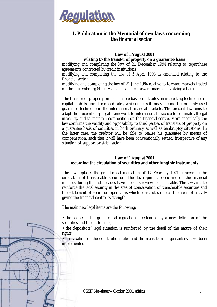

## **I. Publication in the Memorial of new laws concerning the financial sector**

#### **Law of 1 August 2001 relating to the transfer of property on a guarantee basis**

modifying and completing the law of 21 December 1994 relating to repurchase agreements contracted by credit institutions

modifying and completing the law of 5 April 1993 as amended relating to the financial sector

modifying and completing the law of 21 June 1984 relative to forward markets traded on the Luxembourg Stock Exchange and to forward markets involving a bank.

The transfer of property on a guarantee basis constitutes an interesting technique for capital mobilisation at reduced rates, which makes it today the most commonly used guarantee technique in the international financial markets. The present law aims to adapt the Luxembourg legal framework to international practice to eliminate all legal insecurity and to maintain competition on the financial centre. More specifically the law confirms the validity and opposability to third parties of transfers of property on a guarantee basis of securities in both ordinary as well as bankruptcy situations. In the latter case, the creditor will be able to realise his guarantee by means of compensation, such that it will have been conventionally settled, irrespective of any situation of support or stabilisation.

#### **Law of 1 August 2001 regarding the circulation of securities and other fungible instruments**

The law replaces the grand-ducal regulation of 17 February 1971 concerning the circulation of transferable securities. The developments occurring on the financial markets during the last decades have made its review indispensable. The law aims to reinforce the legal security in the area of conservation of transferable securities and the settlement of securities operations which constitutes one of the areas of activity giving the financial centre its strength.

The main new legal items are the following:

• the scope of the grand-ducal regulation is extended by a new definition of the securities and the custodians;

• the depositors' legal situation is reinforced by the detail of the nature of their rights;

• a relaxation of the constitution rules and the realisation of guarantees have been implemented.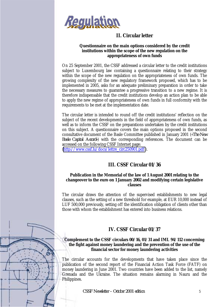

## **II. Circular letter**

### **Questionnaire on the main options considered by the credit institutions within the scope of the new regulation on the appropriateness of own funds**

On 25 September 2001, the CSSF addressed a circular letter to the credit institutions subject to Luxembourg law containing a questionnaire relating to their strategy within the scope of the new regulation on the appropriateness of own funds. The growing complexity of the new regulatory framework proposed, which has to be implemented in 2005, asks for an adequate preliminary preparation in order to take the necessary measures to guarantee a progressive transition to a new regime. It is therefore indispensable that the credit institutions develop an action plan to be able to apply the new regime of appropriateness of own funds in full conformity with the requirements to be met at the implementation date.

The circular letter is intended to round off the credit institutions' reflection on the subject of the recent developments in the field of appropriateness of own funds, as well as to inform the CSSF on the preparations undertaken by the credit institutions on this subject. A questionnaire covers the main options proposed in the second consultative document of the Basle Committee published in January 2001 («*The New Basle Capital Accord»*) with the corresponding references. The document can be accessed on the following CSSF Internet page:

([http://www.cssf.lu/docs/lettre\\_circ250901.pdf](http://www.cssf.lu/docs/lettre_circ250901.pdf) ).

# **III. CSSF Circular 01/36**

#### **Publication in the Memorial of the law of 1 August 2001 relating to the changeover to the euro on 1 January 2002 and modifying certain legislative clauses**

The circular draws the attention of the supervised establishments to new legal clauses, such as the setting of a new threshold for example, at EUR 10,000 instead of LUF 500,000 previously, setting off the identification obligation of clients other than those with whom the establishment has entered into business relations.

## **IV. CSSF Circular 01/37**

#### **Complement to the CSSF circulars 00/16, 01/31 and IML 94/112 concerning the fight against money laundering and the prevention of the use of the financial sector for money laundering activities**

The circular accounts for the developments that have taken place since the publication of the second report of the Financial Action Task Force (FATF) on money laundering in June 2001. Two countries have been added to the list, namely Grenada and the Ukraine. The situation remains alarming in Nauru and the Philippines.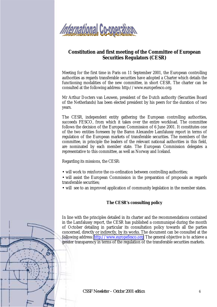

## **Constitution and first meeting of the Committee of European Securities Regulators (CESR)**

Meeting for the first time in Paris on 11 September 2001, the European controlling authorities as regards transferable securities have adopted a Charter which details the functioning modalities of the new committee, in short CESR. The charter can be consulted at the following address: http://www.europefesco.org.

Mr Arthur Docters van Leuwen, president of the Dutch authority (Securities Board of the Netherlands) has been elected president by his peers for the duration of two years.

The CESR, independent entity gathering the European controlling authorities, succeeds FESCO, from which it takes over the entire workload. The committee follows the decision of the European Commission of 6 June 2001. It constitutes one of the two entities foreseen by the Baron Alexandre Lamfalussy report in terms of regulation of the European markets of transferable securities. The members of the committee, in principle the leaders of the relevant national authorities in this field, are nominated by each member state. The European Commission delegates a representative to this committee, as well as Norway and Iceland.

Regarding its missions, the CESR:

- will work to reinforce the co-ordination between controlling authorities;
- will assist the European Commission in the preparation of proposals as regards transferable securities;
- will see to an improved application of community legislation in the member states.

#### **The CESR's consulting policy**

In line with the principles detailed in its charter and the recommendations contained in the Lamfalussy report, the CESR has published a communiqué during the month of October detailing in particular its consultation policy towards all the parties concerned, directly or indirectly, by its works. The document can be consulted at the following address: [http://www.europefesco.org.](http://www.europefesco.org/) The general objective is to achieve a greater transparency in terms of the regulation of the transferable securities markets.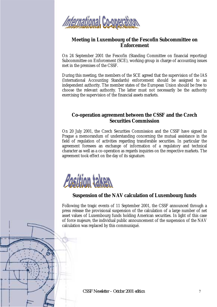

## **Meeting in Luxembourg of the Fescofin Subcommittee on Enforcement**

On 24 September 2001 the Fescofin (Standing Committee on financial reporting) Subcommittee on Enforcement (SCE), working group in charge of accounting issues met in the premises of the CSSF.

During this meeting, the members of the SCE agreed that the supervision of the IAS (International Accounting Standards) enforcement should be assigned to an independent authority. The member states of the European Union should be free to choose the relevant authority. The latter must not necessarily be the authority exercising the supervision of the financial assets markets.

## **Co-operation agreement between the CSSF and the Czech Securities Commission**

On 20 July 2001, the Czech Securities Commission and the CSSF have signed in Prague a memorandum of understanding concerning the mutual assistance in the field of regulation of activities regarding transferable securities. In particular the agreement foresees an exchange of information of a regulatory and technical character as well as a co-operation as regards inquiries on the respective markets. The agreement took effect on the day of its signature.



## **Suspension of the NAV calculation of Luxembourg funds**

Following the tragic events of 11 September 2001, the CSSF announced through a press release the provisional suspension of the calculation of a large number of net asset values of Luxembourg funds holding American securities. In light of this case of force majeure, the individual public announcement of the suspension of the NAV calculation was replaced by this communiqué.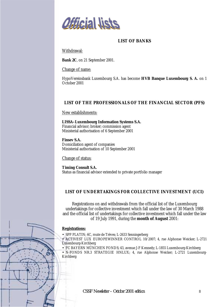

#### **LIST OF BANKS**

Withdrawal:

**Bank 2C**, on 21 September 2001.

Change of name:

HypoVereinsbank Luxembourg S.A. has become **HVB Banque Luxembourg S. A.** on 1 October 2001

#### **LIST OF THE PROFESSIONALS OF THE FINANCIAL SECTOR (PFS)**

New establishments:

**LISSA–Luxembourg Information Systems S.A.** Financial advisor; broker; commission agent Ministerial authorisation of 6 September 2001

**Finsev S.A.** Domiciliation agent of companies Ministerial authorisation of 10 September 2001

Change of status:

**Timing Consult S.A.** Status as financial advisor extended to private portfolio manager

#### **LIST OF UNDERTAKINGS FOR COLLECTIVE INVESTMENT (UCI)**

Registrations on and withdrawals from the official list of the Luxembourg undertakings for collective investment which fall under the law of 30 March 1988 and the official list of undertakings for collective investment which fall under the law of 19 July 1991, during the **month of August** 2001:

#### **Registrations:**

• SPP PLATIN; 6C, route de Trèves; L-2633 Senningerberg

• ACTIVEST LUX EUROPEWINNER CONTROL 10/2007; 4, rue Alphonse Weicker; L-2721 Luxembourg-Kirchberg

• FC BAYERN MÜNCHEN FONDS; 43, avenue J-F Kennedy; L-1855 Luxembourg-Kirchberg

• N-FONDS NR.3 STRATEGIE HNLUX; 4, rue Alphonse Weicker; L-2721 Luxembourg-Kirchberg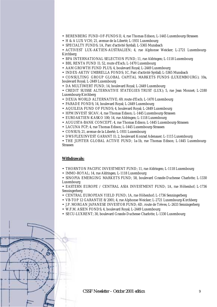- BERENBERG FUND-OF-FUNDS II; 4, rue Thomas Edison; L-1445 Luxembourg-Strassen
- H & A LUX VCH; 21, avenue de la Liberté; L-1931 Luxembourg
- SPECIALTY FUNDS; 1A, Parc d'activité Syrdall; L-5365 Munsbach

• ACTIVEST LUX-AKTIEN-AUSTRALIEN; 4, rue Alphonse Weicker; L-2721 Luxembourg-Kirchberg

- BPA INTERNATIONAL SELECTION FUND; 11, rue Aldringen; L-1118 Luxembourg
- BBL RENTA FUND II; 52, route d'Esch; L-1470 Luxembourg
- AAM GROWTH FUND PLUS; 4, boulevard Royal; L-2449 Luxembourg
- INDEX-AKTIV UMBRELLA FONDS; 1C, Parc d'activité Syrdall; L-5365 Munsbach
- CONSULTING GROUP GLOBAL CAPITAL MARKETS FUNDS (LUXEMBOURG); 10a, boulevard Royal; L-2449 Luxembourg
- DA MULTIWERT FUND; 14, boulevard Royal; L-2449 Luxembourg

• CREDIT SUISSE ALTERNATIVE STATEGIES TRUST (LUX); 5, rue Jean Monnet; L-2180 Luxembourg-Kirchberg

- DEXIA WORLD ALTERNATIVE; 69, route d'Esch; L-1470 Luxembourg
- PARADE FONDS; 14, boulevard Royal; L-2449 Luxembourg
- AQUILEIA FUND OF FUNDS; 4, boulevard Royal; L-2449 Luxembourg
- HPM INVEST SICAV; 4, rue Thomas Edison; L-1445 Luxembourg-Strassen
- EUROAKTIEN-KASKO 100; 14, rue Aldringen; L-1118 Luxembourg
- AUGUSTA-BANK CONCEPT: 4. rue Thomas Edison: L-1445 Luxembourg-Strassen
- LACUNA FCP; 4, rue Thomas Edison; L-1445 Luxembourg-Strassen
- CONSUS; 21, avenue de la Liberté; L-1931 Luxembourg
- DWS FLEXINVEST GARANT II; 2, boulevard Konrad Adenauer; L-1115 Luxembourg

• THE JUPITER GLOBAL ACTIVE FUND; 1a-1b, rue Thomas Edison; L-1445 Luxembourg-Strassen

#### **Withdrawals:**

- THORNTON PACIFIC INVESTMENT FUND; 11, rue Aldringen; L-1118 Luxembourg
- IMMO-ROYAL; 14, rue Aldringen; L-1118 Luxembourg
- SINOPIA EMERGING MARKETS FUND; 58, boulevard Grande-Duchesse Charlotte; L-1330 Luxembourg

• EASTERN EUROPE / CENTRAL ASIA INVESTMENT FUND; 1A, rue Höhenhof; L-1736 Senningerberg

- CENTRAL EUROPEAN YIELD FUND; 1A, rue Höhenhof; L-1736 Senningerberg
- VB-TOP 12 GARANTIE 8/2001; 4, rue Alphonse Weicker; L-2721 Luxembourg-Kirchberg
- J.P. MORGAN JAPANESE INVESTOR FUND; 6D, route de Trèves; L-2633 Senningerberg
- W.F.M. ASIEN FONDS; 4, boulevard Royal; L-2449 Luxembourg
- SECU-LUXRENT: 30, boulevard Grande-Duchesse Charlotte: L-1330 Luxembourg